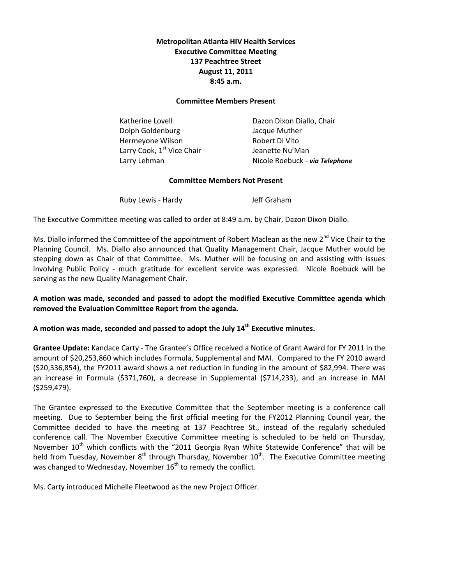# **Metropolitan Atlanta HIV Health Services Executive Committee Meeting 137 Peachtree Street August 11, 2011 8:45 a.m.**

#### **Committee Members Present**

Dolph Goldenburg Jacque Muther Hermeyone Wilson Robert Di Vito Larry Cook,  $1^{st}$  Vice Chair Jeanette Nu'Man

Katherine Lovell **Example 20** Dazon Dixon Diallo, Chair Larry Lehman Nicole Roebuck - *via Telephone*

#### **Committee Members Not Present**

Ruby Lewis - Hardy **Jeff Graham** 

The Executive Committee meeting was called to order at 8:49 a.m. by Chair, Dazon Dixon Diallo.

Ms. Diallo informed the Committee of the appointment of Robert Maclean as the new 2<sup>nd</sup> Vice Chair to the Planning Council. Ms. Diallo also announced that Quality Management Chair, Jacque Muther would be stepping down as Chair of that Committee. Ms. Muther will be focusing on and assisting with issues involving Public Policy - much gratitude for excellent service was expressed. Nicole Roebuck will be serving as the new Quality Management Chair.

# **A motion was made, seconded and passed to adopt the modified Executive Committee agenda which removed the Evaluation Committee Report from the agenda.**

# **A motion was made, seconded and passed to adopt the July 14th Executive minutes.**

**Grantee Update:** Kandace Carty - The Grantee's Office received a Notice of Grant Award for FY 2011 in the amount of \$20,253,860 which includes Formula, Supplemental and MAI. Compared to the FY 2010 award (\$20,336,854), the FY2011 award shows a net reduction in funding in the amount of \$82,994. There was an increase in Formula (\$371,760), a decrease in Supplemental (\$714,233), and an increase in MAI (\$259,479).

The Grantee expressed to the Executive Committee that the September meeting is a conference call meeting. Due to September being the first official meeting for the FY2012 Planning Council year, the Committee decided to have the meeting at 137 Peachtree St., instead of the regularly scheduled conference call. The November Executive Committee meeting is scheduled to be held on Thursday, November  $10<sup>th</sup>$  which conflicts with the "2011 Georgia Ryan White Statewide Conference" that will be held from Tuesday, November  $8^{th}$  through Thursday, November  $10^{th}$ . The Executive Committee meeting was changed to Wednesday, November  $16<sup>th</sup>$  to remedy the conflict.

Ms. Carty introduced Michelle Fleetwood as the new Project Officer.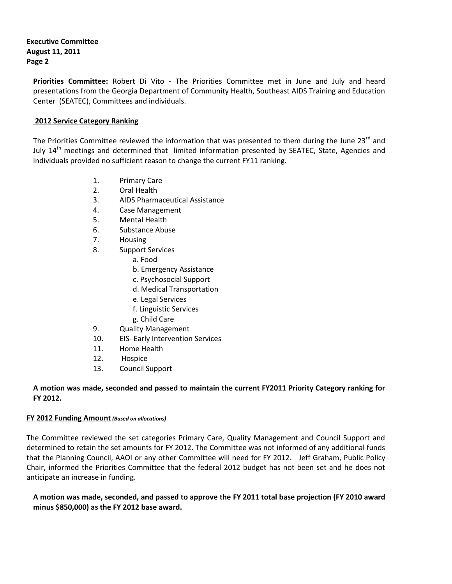# **Executive Committee August 11, 2011 Page 2**

**Priorities Committee:** Robert Di Vito - The Priorities Committee met in June and July and heard presentations from the Georgia Department of Community Health, Southeast AIDS Training and Education Center (SEATEC), Committees and individuals.

## **2012 Service Category Ranking**

The Priorities Committee reviewed the information that was presented to them during the June 23<sup>rd</sup> and July 14<sup>th</sup> meetings and determined that limited information presented by SEATEC, State, Agencies and individuals provided no sufficient reason to change the current FY11 ranking.

- 1. Primary Care
- 2. Oral Health
- 3. AIDS Pharmaceutical Assistance
- 4. Case Management
- 5. Mental Health
- 6. Substance Abuse
- 7. Housing
- 8. Support Services
	- a. Food
	- b. Emergency Assistance
	- c. Psychosocial Support
	- d. Medical Transportation
	- e. Legal Services
	- f. Linguistic Services
	- g. Child Care
- 9. Quality Management
- 10. EIS- Early Intervention Services
- 11. Home Health
- 12. Hospice
- 13. Council Support

## **A motion was made, seconded and passed to maintain the current FY2011 Priority Category ranking for FY 2012.**

### **FY 2012 Funding Amount***(Based on allocations)*

The Committee reviewed the set categories Primary Care, Quality Management and Council Support and determined to retain the set amounts for FY 2012. The Committee was not informed of any additional funds that the Planning Council, AAOI or any other Committee will need for FY 2012. Jeff Graham, Public Policy Chair, informed the Priorities Committee that the federal 2012 budget has not been set and he does not anticipate an increase in funding.

**A motion was made, seconded, and passed to approve the FY 2011 total base projection (FY 2010 award minus \$850,000) as the FY 2012 base award.**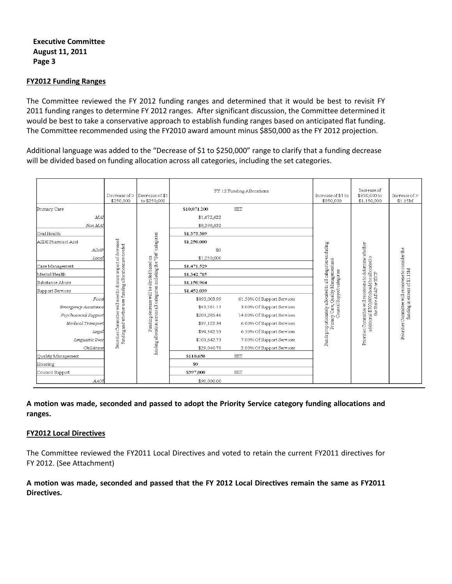### **Executive Committee August 11, 2011 Page 3**

#### **FY2012 Funding Ranges**

The Committee reviewed the FY 2012 funding ranges and determined that it would be best to revisit FY 2011 funding ranges to determine FY 2012 ranges. After significant discussion, the Committee determined it would be best to take a conservative approach to establish funding ranges based on anticipated flat funding. The Committee recommended using the FY2010 award amount minus \$850,000 as the FY 2012 projection.

Additional language was added to the "Decrease of \$1 to \$250,000" range to clarify that a funding decrease will be divided based on funding allocation across all categories, including the set categories.

|                      | Decrease of ><br>\$250,000                                                                                              | Decrease of \$1<br>to \$250,000                                                                           |              | FY 12 Funding Allocations  | Increase of \$1 to<br>\$850,000                                                                                                   | Increase of<br>\$850,000 to<br>\$1,150,000                                                                                        | Increase of ><br>\$1.15M                                                            |
|----------------------|-------------------------------------------------------------------------------------------------------------------------|-----------------------------------------------------------------------------------------------------------|--------------|----------------------------|-----------------------------------------------------------------------------------------------------------------------------------|-----------------------------------------------------------------------------------------------------------------------------------|-------------------------------------------------------------------------------------|
| Primary Care         |                                                                                                                         |                                                                                                           | \$10,071,200 | <b>SET</b>                 |                                                                                                                                   |                                                                                                                                   |                                                                                     |
| MAI                  |                                                                                                                         |                                                                                                           | \$1,672,622  |                            |                                                                                                                                   |                                                                                                                                   |                                                                                     |
| Non MAI              |                                                                                                                         |                                                                                                           | \$8,398,832  |                            |                                                                                                                                   |                                                                                                                                   |                                                                                     |
| Oral Health          |                                                                                                                         |                                                                                                           | \$1,373,389  |                            |                                                                                                                                   |                                                                                                                                   |                                                                                     |
| AIDS Pharmact Asst   |                                                                                                                         | categories                                                                                                | \$1,250,000  |                            |                                                                                                                                   |                                                                                                                                   |                                                                                     |
| <b>ADAF</b>          |                                                                                                                         |                                                                                                           | \$0          |                            |                                                                                                                                   |                                                                                                                                   |                                                                                     |
| Local                | Priorities Committee will meet to discuss impact of decreased<br>funding and whether new funding allocations are needed |                                                                                                           | \$1,250,000  |                            | Funds proportionately allocated to all categories excluding<br>Frimary Care, Quality Management and<br>Council Support categories | Priorities Committee will reconvene to determine whether<br>additional \$300,000 should be allocated to<br>the State ADAP or HICP | Priorities Committee will reconvene to consider the<br>funding in excess of \$1.15M |
| Case Management      |                                                                                                                         |                                                                                                           | \$1,471,529  |                            |                                                                                                                                   |                                                                                                                                   |                                                                                     |
| Mental Health        |                                                                                                                         | Funding decrease will be divided based on<br>funding allocation across all categories including the "Set" | \$1,342,715  |                            |                                                                                                                                   |                                                                                                                                   |                                                                                     |
| Substance Abuse      |                                                                                                                         |                                                                                                           | \$1,150,964  |                            |                                                                                                                                   |                                                                                                                                   |                                                                                     |
| Support Services     |                                                                                                                         |                                                                                                           | \$1,452,039  |                            |                                                                                                                                   |                                                                                                                                   |                                                                                     |
| Food                 |                                                                                                                         |                                                                                                           | \$893,003.99 | 61.50% Of Support Services |                                                                                                                                   |                                                                                                                                   |                                                                                     |
| Emergency Assistance |                                                                                                                         |                                                                                                           | \$43,561.17  | 3.00% Of Support Services  |                                                                                                                                   |                                                                                                                                   |                                                                                     |
| Psychosocial Support |                                                                                                                         |                                                                                                           | \$203,285.46 | 14.00% Of Support Services |                                                                                                                                   |                                                                                                                                   |                                                                                     |
| Medical Transport    |                                                                                                                         |                                                                                                           | \$87,122.34  | 6.00% Of Support Services  |                                                                                                                                   |                                                                                                                                   |                                                                                     |
| Legal                |                                                                                                                         |                                                                                                           | \$94,382.53  | 6.50% Of Support Services  |                                                                                                                                   |                                                                                                                                   |                                                                                     |
| Linguistic Svcs      |                                                                                                                         |                                                                                                           | \$101,642.73 | 7.00% Of Support Services  |                                                                                                                                   |                                                                                                                                   |                                                                                     |
| Childcare            |                                                                                                                         |                                                                                                           | \$29,040.78  | 2.00% Of Support Services  |                                                                                                                                   |                                                                                                                                   |                                                                                     |
| Quality Management   |                                                                                                                         |                                                                                                           | \$110,650    | <b>SET</b>                 |                                                                                                                                   |                                                                                                                                   |                                                                                     |
| Housing              |                                                                                                                         |                                                                                                           | \$0          |                            |                                                                                                                                   |                                                                                                                                   |                                                                                     |
| Council Support      |                                                                                                                         |                                                                                                           | \$397,000    | <b>SET</b>                 |                                                                                                                                   |                                                                                                                                   |                                                                                     |
| AAOI                 |                                                                                                                         |                                                                                                           | \$90,000.00  |                            |                                                                                                                                   |                                                                                                                                   |                                                                                     |

## **A motion was made, seconded and passed to adopt the Priority Service category funding allocations and ranges.**

#### **FY2012 Local Directives**

The Committee reviewed the FY2011 Local Directives and voted to retain the current FY2011 directives for FY 2012. (See Attachment)

## **A motion was made, seconded and passed that the FY 2012 Local Directives remain the same as FY2011 Directives.**